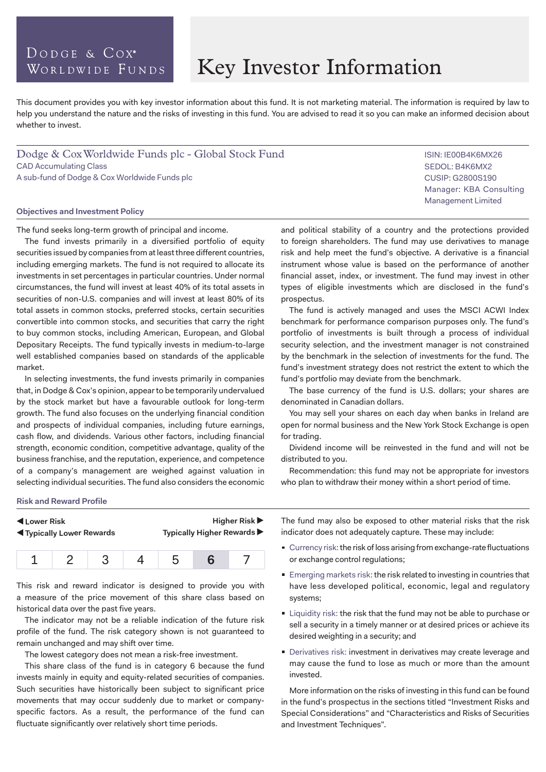# DODGE & COX<sup>®</sup> WORLDWIDE FUNDS

# Key Investor Information

This document provides you with key investor information about this fund. It is not marketing material. The information is required by law to help you understand the nature and the risks of investing in this fund. You are advised to read it so you can make an informed decision about whether to invest.

Dodge & Cox Worldwide Funds plc - Global Stock Fund CAD Accumulating Class A sub-fund of Dodge & Cox Worldwide Funds plc

#### **Objectives and Investment Policy**

The fund seeks long-term growth of principal and income.

The fund invests primarily in a diversified portfolio of equity securities issued by companies from at least three different countries, including emerging markets. The fund is not required to allocate its investments in set percentages in particular countries. Under normal circumstances, the fund will invest at least 40% of its total assets in securities of non-U.S. companies and will invest at least 80% of its total assets in common stocks, preferred stocks, certain securities convertible into common stocks, and securities that carry the right to buy common stocks, including American, European, and Global Depositary Receipts. The fund typically invests in medium-to-large well established companies based on standards of the applicable market.

In selecting investments, the fund invests primarily in companies that, in Dodge & Cox's opinion, appear to be temporarily undervalued by the stock market but have a favourable outlook for long-term growth. The fund also focuses on the underlying financial condition and prospects of individual companies, including future earnings, cash flow, and dividends. Various other factors, including financial strength, economic condition, competitive advantage, quality of the business franchise, and the reputation, experience, and competence of a company's management are weighed against valuation in selecting individual securities. The fund also considers the economic ISIN: IE00B4K6MX26 SEDOL: B4K6MX2 CUSIP: G2800S190 Manager: KBA Consulting Management Limited

and political stability of a country and the protections provided to foreign shareholders. The fund may use derivatives to manage risk and help meet the fund's objective. A derivative is a financial instrument whose value is based on the performance of another financial asset, index, or investment. The fund may invest in other types of eligible investments which are disclosed in the fund's prospectus.

The fund is actively managed and uses the MSCI ACWI Index benchmark for performance comparison purposes only. The fund's portfolio of investments is built through a process of individual security selection, and the investment manager is not constrained by the benchmark in the selection of investments for the fund. The fund's investment strategy does not restrict the extent to which the fund's portfolio may deviate from the benchmark.

The base currency of the fund is U.S. dollars; your shares are denominated in Canadian dollars.

You may sell your shares on each day when banks in Ireland are open for normal business and the New York Stock Exchange is open for trading.

Dividend income will be reinvested in the fund and will not be distributed to you.

Recommendation: this fund may not be appropriate for investors who plan to withdraw their money within a short period of time.

#### **Risk and Reward Profile**

| Lower Risk                               |  |  |  | Higher Risk                |  |  |
|------------------------------------------|--|--|--|----------------------------|--|--|
| <b>Example 3 Typically Lower Rewards</b> |  |  |  | Typically Higher Rewards ▶ |  |  |
|                                          |  |  |  | h                          |  |  |

This risk and reward indicator is designed to provide you with a measure of the price movement of this share class based on historical data over the past five years.

The indicator may not be a reliable indication of the future risk profile of the fund. The risk category shown is not guaranteed to remain unchanged and may shift over time.

The lowest category does not mean a risk-free investment.

This share class of the fund is in category 6 because the fund invests mainly in equity and equity-related securities of companies. Such securities have historically been subject to significant price movements that may occur suddenly due to market or companyspecific factors. As a result, the performance of the fund can fluctuate significantly over relatively short time periods.

The fund may also be exposed to other material risks that the risk indicator does not adequately capture. These may include:

- Currency risk: the risk of loss arising from exchange-rate fluctuations or exchange control regulations;
- Emerging markets risk: the risk related to investing in countries that have less developed political, economic, legal and regulatory systems;
- **Liquidity risk: the risk that the fund may not be able to purchase or** sell a security in a timely manner or at desired prices or achieve its desired weighting in a security; and
- Derivatives risk: investment in derivatives may create leverage and may cause the fund to lose as much or more than the amount invested.

More information on the risks of investing in this fund can be found in the fund's prospectus in the sections titled "Investment Risks and Special Considerations" and "Characteristics and Risks of Securities and Investment Techniques".